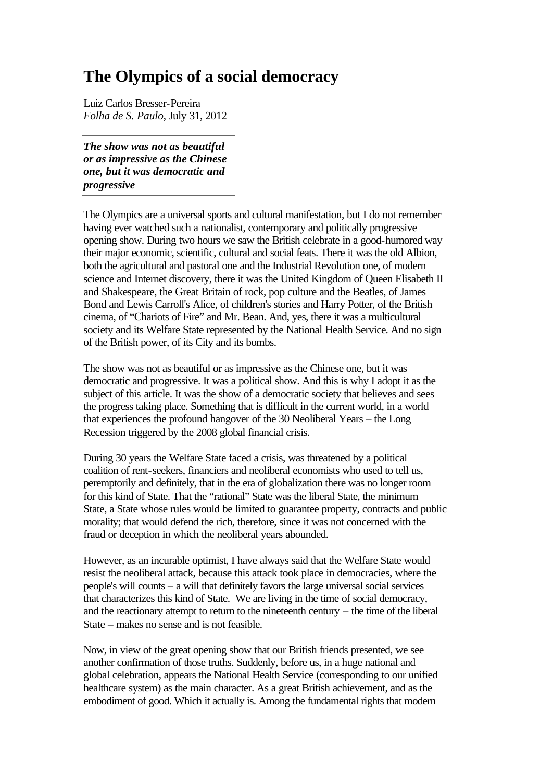## **The Olympics of a social democracy**

Luiz Carlos Bresser-Pereira *Folha de S. Paulo*, July 31, 2012

*The show was not as beautiful or as impressive as the Chinese one, but it was democratic and progressive*

The Olympics are a universal sports and cultural manifestation, but I do not remember having ever watched such a nationalist, contemporary and politically progressive opening show. During two hours we saw the British celebrate in a good-humored way their major economic, scientific, cultural and social feats. There it was the old Albion, both the agricultural and pastoral one and the Industrial Revolution one, of modern science and Internet discovery, there it was the United Kingdom of Queen Elisabeth II and Shakespeare, the Great Britain of rock, pop culture and the Beatles, of James Bond and Lewis Carroll's Alice, of children's stories and Harry Potter, of the British cinema, of "Chariots of Fire" and Mr. Bean. And, yes, there it was a multicultural society and its Welfare State represented by the National Health Service. And no sign of the British power, of its City and its bombs.

The show was not as beautiful or as impressive as the Chinese one, but it was democratic and progressive. It was a political show. And this is why I adopt it as the subject of this article. It was the show of a democratic society that believes and sees the progress taking place. Something that is difficult in the current world, in a world that experiences the profound hangover of the 30 Neoliberal Years – the Long Recession triggered by the 2008 global financial crisis.

During 30 years the Welfare State faced a crisis, was threatened by a political coalition of rent-seekers, financiers and neoliberal economists who used to tell us, peremptorily and definitely, that in the era of globalization there was no longer room for this kind of State. That the "rational" State was the liberal State, the minimum State, a State whose rules would be limited to guarantee property, contracts and public morality; that would defend the rich, therefore, since it was not concerned with the fraud or deception in which the neoliberal years abounded.

However, as an incurable optimist, I have always said that the Welfare State would resist the neoliberal attack, because this attack took place in democracies, where the people's will counts – a will that definitely favors the large universal social services that characterizes this kind of State. We are living in the time of social democracy, and the reactionary attempt to return to the nineteenth century – the time of the liberal State – makes no sense and is not feasible.

Now, in view of the great opening show that our British friends presented, we see another confirmation of those truths. Suddenly, before us, in a huge national and global celebration, appears the National Health Service (corresponding to our unified healthcare system) as the main character. As a great British achievement, and as the embodiment of good. Which it actually is. Among the fundamental rights that modern